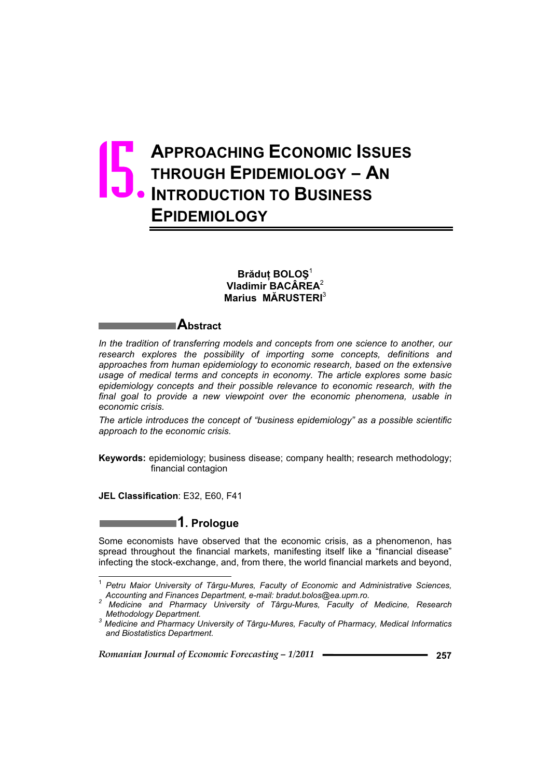# **APPROACHING ECONOMIC ISSUES THROUGH EPIDEMIOLOGY – AN INTRODUCTION TO BUSINESS EPIDEMIOLOGY** 15.

### $B$ **răduț** BOLOŞ<sup>1</sup> **Vladimir BACÂREA**<sup>2</sup> **Marius MĂRUSTERI**<sup>3</sup>

## **Abstract**

In the tradition of transferring models and concepts from one science to another, our *research explores the possibility of importing some concepts, definitions and approaches from human epidemiology to economic research, based on the extensive usage of medical terms and concepts in economy. The article explores some basic epidemiology concepts and their possible relevance to economic research, with the final goal to provide a new viewpoint over the economic phenomena, usable in economic crisis.* 

*The article introduces the concept of "business epidemiology" as a possible scientific approach to the economic crisis.* 

**Keywords:** epidemiology; business disease; company health; research methodology; financial contagion

**JEL Classification**: E32, E60, F41

 $\overline{a}$ 

# **1. Prologue**

Some economists have observed that the economic crisis, as a phenomenon, has spread throughout the financial markets, manifesting itself like a "financial disease" infecting the stock-exchange, and, from there, the world financial markets and beyond,

<sup>1</sup> *Petru Maior University of Târgu-Mures, Faculty of Economic and Administrative Sciences, Accounting and Finances Department, e-mail: bradut.bolos@ea.upm.ro. <sup>2</sup>*

*Medicine and Pharmacy University of Târgu-Mures, Faculty of Medicine, Research Methodology Department. 3*

*Medicine and Pharmacy University of Târgu-Mures, Faculty of Pharmacy, Medical Informatics and Biostatistics Department.*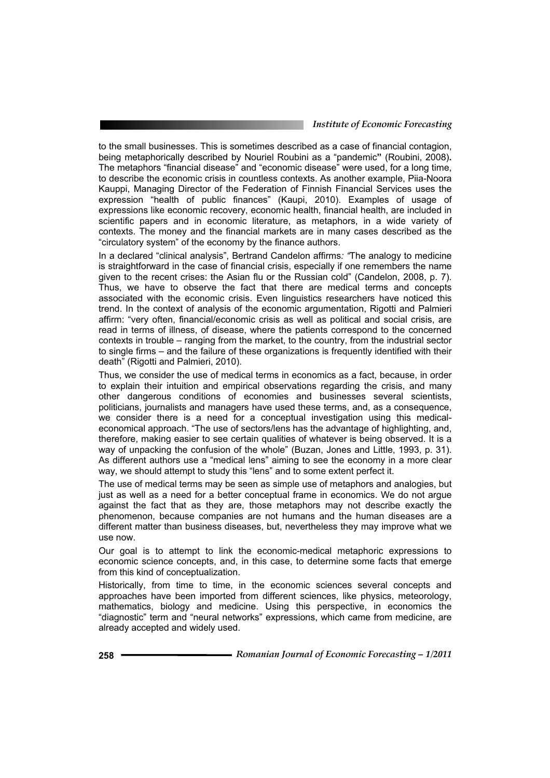to the small businesses. This is sometimes described as a case of financial contagion, being metaphorically described by Nouriel Roubini as a "pandemic**"** (Roubini, 2008)**.** The metaphors "financial disease" and "economic disease" were used, for a long time, to describe the economic crisis in countless contexts. As another example, Piia-Noora Kauppi, Managing Director of the Federation of Finnish Financial Services uses the expression "health of public finances" (Kaupi, 2010). Examples of usage of expressions like economic recovery, economic health, financial health, are included in scientific papers and in economic literature, as metaphors, in a wide variety of contexts. The money and the financial markets are in many cases described as the "circulatory system" of the economy by the finance authors.

In a declared "clinical analysis", Bertrand Candelon affirms*: "*The analogy to medicine is straightforward in the case of financial crisis, especially if one remembers the name given to the recent crises: the Asian flu or the Russian cold" (Candelon, 2008, p. 7). Thus, we have to observe the fact that there are medical terms and concepts associated with the economic crisis. Even linguistics researchers have noticed this trend. In the context of analysis of the economic argumentation, Rigotti and Palmieri affirm: "very often, financial/economic crisis as well as political and social crisis, are read in terms of illness, of disease, where the patients correspond to the concerned contexts in trouble – ranging from the market, to the country, from the industrial sector to single firms – and the failure of these organizations is frequently identified with their death" (Rigotti and Palmieri, 2010).

Thus, we consider the use of medical terms in economics as a fact, because, in order to explain their intuition and empirical observations regarding the crisis, and many other dangerous conditions of economies and businesses several scientists, politicians, journalists and managers have used these terms, and, as a consequence, we consider there is a need for a conceptual investigation using this medicaleconomical approach. "The use of sectors/lens has the advantage of highlighting, and, therefore, making easier to see certain qualities of whatever is being observed. It is a way of unpacking the confusion of the whole" (Buzan, Jones and Little, 1993, p. 31). As different authors use a "medical lens" aiming to see the economy in a more clear way, we should attempt to study this "lens" and to some extent perfect it.

The use of medical terms may be seen as simple use of metaphors and analogies, but just as well as a need for a better conceptual frame in economics. We do not argue against the fact that as they are, those metaphors may not describe exactly the phenomenon, because companies are not humans and the human diseases are a different matter than business diseases, but, nevertheless they may improve what we use now.

Our goal is to attempt to link the economic-medical metaphoric expressions to economic science concepts, and, in this case, to determine some facts that emerge from this kind of conceptualization.

Historically, from time to time, in the economic sciences several concepts and approaches have been imported from different sciences, like physics, meteorology, mathematics, biology and medicine. Using this perspective, in economics the "diagnostic" term and "neural networks" expressions, which came from medicine, are already accepted and widely used.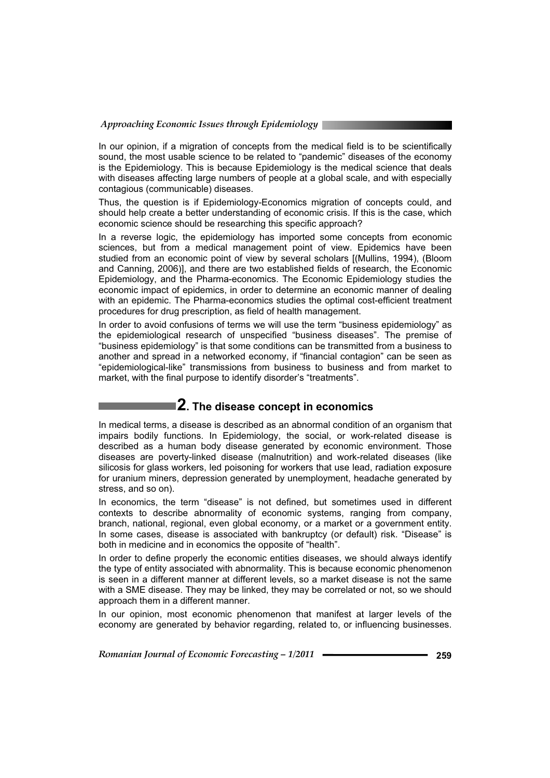In our opinion, if a migration of concepts from the medical field is to be scientifically sound, the most usable science to be related to "pandemic" diseases of the economy is the Epidemiology. This is because Epidemiology is the medical science that deals with diseases affecting large numbers of people at a global scale, and with especially contagious (communicable) diseases.

Thus, the question is if Epidemiology-Economics migration of concepts could, and should help create a better understanding of economic crisis. If this is the case, which economic science should be researching this specific approach?

In a reverse logic, the epidemiology has imported some concepts from economic sciences, but from a medical management point of view. Epidemics have been studied from an economic point of view by several scholars [(Mullins, 1994), (Bloom and Canning, 2006)], and there are two established fields of research, the Economic Epidemiology, and the Pharma-economics. The Economic Epidemiology studies the economic impact of epidemics, in order to determine an economic manner of dealing with an epidemic. The Pharma-economics studies the optimal cost-efficient treatment procedures for drug prescription, as field of health management.

In order to avoid confusions of terms we will use the term "business epidemiology" as the epidemiological research of unspecified "business diseases". The premise of "business epidemiology" is that some conditions can be transmitted from a business to another and spread in a networked economy, if "financial contagion" can be seen as "epidemiological-like" transmissions from business to business and from market to market, with the final purpose to identify disorder's "treatments".

# **2. The disease concept in economics**

In medical terms, a disease is described as an abnormal condition of an organism that impairs bodily functions. In Epidemiology, the social, or work-related disease is described as a human body disease generated by economic environment. Those diseases are poverty-linked disease (malnutrition) and work-related diseases (like silicosis for glass workers, led poisoning for workers that use lead, radiation exposure for uranium miners, depression generated by unemployment, headache generated by stress, and so on).

In economics, the term "disease" is not defined, but sometimes used in different contexts to describe abnormality of economic systems, ranging from company, branch, national, regional, even global economy, or a market or a government entity. In some cases, disease is associated with bankruptcy (or default) risk. "Disease" is both in medicine and in economics the opposite of "health".

In order to define properly the economic entities diseases, we should always identify the type of entity associated with abnormality. This is because economic phenomenon is seen in a different manner at different levels, so a market disease is not the same with a SME disease. They may be linked, they may be correlated or not, so we should approach them in a different manner.

In our opinion, most economic phenomenon that manifest at larger levels of the economy are generated by behavior regarding, related to, or influencing businesses.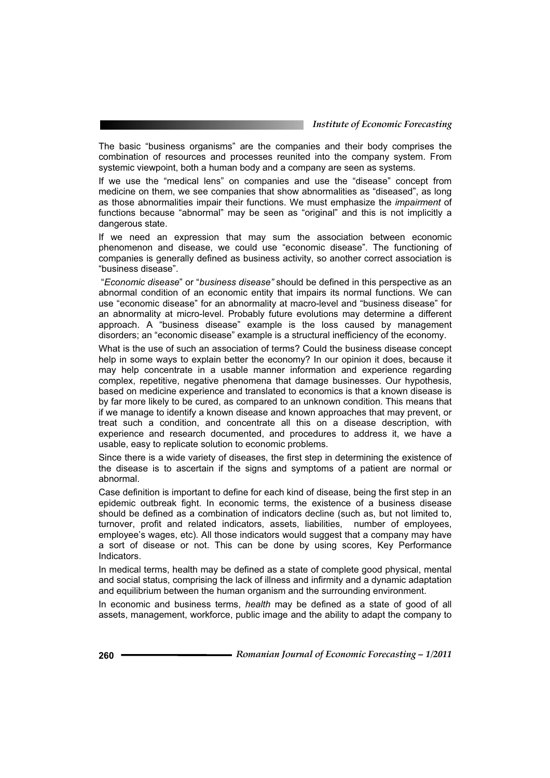The basic "business organisms" are the companies and their body comprises the combination of resources and processes reunited into the company system. From systemic viewpoint, both a human body and a company are seen as systems.

If we use the "medical lens" on companies and use the "disease" concept from medicine on them, we see companies that show abnormalities as "diseased", as long as those abnormalities impair their functions. We must emphasize the *impairment* of functions because "abnormal" may be seen as "original" and this is not implicitly a dangerous state.

If we need an expression that may sum the association between economic phenomenon and disease, we could use "economic disease". The functioning of companies is generally defined as business activity, so another correct association is "business disease".

 "*Economic disease*" or "*business disease"* should be defined in this perspective as an abnormal condition of an economic entity that impairs its normal functions. We can use "economic disease" for an abnormality at macro-level and "business disease" for an abnormality at micro-level. Probably future evolutions may determine a different approach. A "business disease" example is the loss caused by management disorders; an "economic disease" example is a structural inefficiency of the economy.

What is the use of such an association of terms? Could the business disease concept help in some ways to explain better the economy? In our opinion it does, because it may help concentrate in a usable manner information and experience regarding complex, repetitive, negative phenomena that damage businesses. Our hypothesis, based on medicine experience and translated to economics is that a known disease is by far more likely to be cured, as compared to an unknown condition. This means that if we manage to identify a known disease and known approaches that may prevent, or treat such a condition, and concentrate all this on a disease description, with experience and research documented, and procedures to address it, we have a usable, easy to replicate solution to economic problems.

Since there is a wide variety of diseases, the first step in determining the existence of the disease is to ascertain if the signs and symptoms of a patient are normal or abnormal.

Case definition is important to define for each kind of disease, being the first step in an epidemic outbreak fight. In economic terms, the existence of a business disease should be defined as a combination of indicators decline (such as, but not limited to, turnover, profit and related indicators, assets, liabilities, number of employees, employee's wages, etc). All those indicators would suggest that a company may have a sort of disease or not. This can be done by using scores, Key Performance **Indicators** 

In medical terms, health may be defined as a state of complete good physical, mental and social status, comprising the lack of illness and infirmity and a dynamic adaptation and equilibrium between the human organism and the surrounding environment.

In economic and business terms, *health* may be defined as a state of good of all assets, management, workforce, public image and the ability to adapt the company to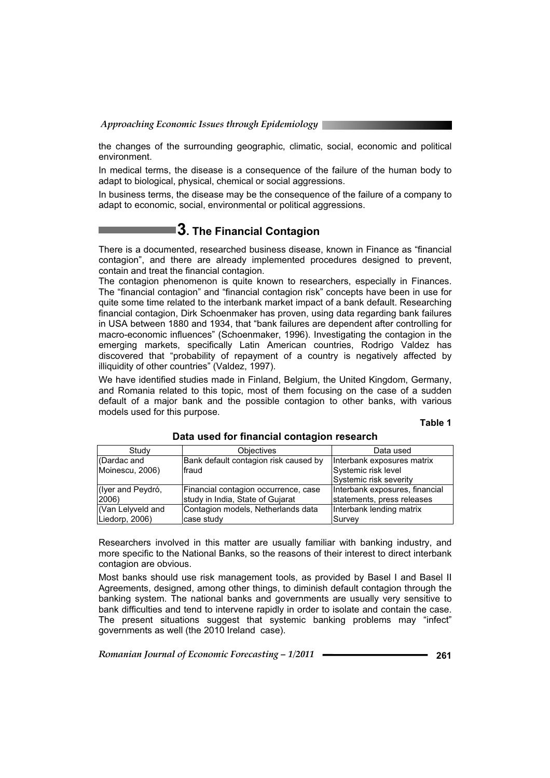the changes of the surrounding geographic, climatic, social, economic and political environment.

In medical terms, the disease is a consequence of the failure of the human body to adapt to biological, physical, chemical or social aggressions.

In business terms, the disease may be the consequence of the failure of a company to adapt to economic, social, environmental or political aggressions.

# **3. The Financial Contagion**

There is a documented, researched business disease, known in Finance as "financial contagion", and there are already implemented procedures designed to prevent, contain and treat the financial contagion.

The contagion phenomenon is quite known to researchers, especially in Finances. The "financial contagion" and "financial contagion risk" concepts have been in use for quite some time related to the interbank market impact of a bank default. Researching financial contagion, Dirk Schoenmaker has proven, using data regarding bank failures in USA between 1880 and 1934, that "bank failures are dependent after controlling for macro-economic influences" (Schoenmaker, 1996). Investigating the contagion in the emerging markets, specifically Latin American countries, Rodrigo Valdez has discovered that "probability of repayment of a country is negatively affected by illiquidity of other countries" (Valdez, 1997).

We have identified studies made in Finland, Belgium, the United Kingdom, Germany, and Romania related to this topic, most of them focusing on the case of a sudden default of a major bank and the possible contagion to other banks, with various models used for this purpose.

### **Table 1**

| Study             | <b>Objectives</b>                     | Data used                      |
|-------------------|---------------------------------------|--------------------------------|
| CDardac and       | Bank default contagion risk caused by | Interbank exposures matrix     |
| Moinescu, 2006)   | Ifraud                                | Systemic risk level            |
|                   |                                       | Systemic risk severity         |
| (Iyer and Peydró, | Financial contagion occurrence, case  | Interbank exposures, financial |
| 2006)             | study in India, State of Gujarat      | statements, press releases     |
| (Van Lelyveld and | Contagion models, Netherlands data    | Interbank lending matrix       |
| Liedorp, 2006)    | case study                            | Survey                         |

**Data used for financial contagion research** 

Researchers involved in this matter are usually familiar with banking industry, and more specific to the National Banks, so the reasons of their interest to direct interbank contagion are obvious.

Most banks should use risk management tools, as provided by Basel I and Basel II Agreements, designed, among other things, to diminish default contagion through the banking system. The national banks and governments are usually very sensitive to bank difficulties and tend to intervene rapidly in order to isolate and contain the case. The present situations suggest that systemic banking problems may "infect" governments as well (the 2010 Ireland case).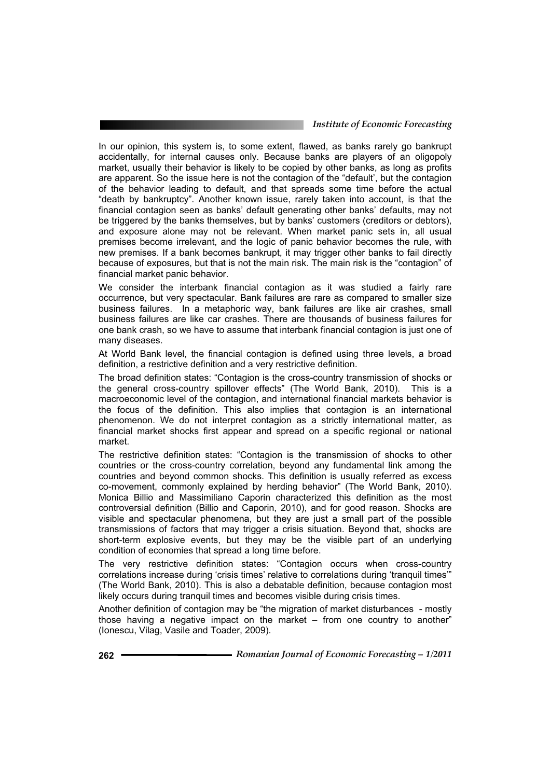In our opinion, this system is, to some extent, flawed, as banks rarely go bankrupt accidentally, for internal causes only. Because banks are players of an oligopoly market, usually their behavior is likely to be copied by other banks, as long as profits are apparent. So the issue here is not the contagion of the "default', but the contagion of the behavior leading to default, and that spreads some time before the actual "death by bankruptcy". Another known issue, rarely taken into account, is that the financial contagion seen as banks' default generating other banks' defaults, may not be triggered by the banks themselves, but by banks' customers (creditors or debtors), and exposure alone may not be relevant. When market panic sets in, all usual premises become irrelevant, and the logic of panic behavior becomes the rule, with new premises. If a bank becomes bankrupt, it may trigger other banks to fail directly because of exposures, but that is not the main risk. The main risk is the "contagion" of financial market panic behavior.

We consider the interbank financial contagion as it was studied a fairly rare occurrence, but very spectacular. Bank failures are rare as compared to smaller size business failures. In a metaphoric way, bank failures are like air crashes, small business failures are like car crashes. There are thousands of business failures for one bank crash, so we have to assume that interbank financial contagion is just one of many diseases.

At World Bank level, the financial contagion is defined using three levels, a broad definition, a restrictive definition and a very restrictive definition.

The broad definition states: "Contagion is the cross-country transmission of shocks or the general cross-country spillover effects" (The World Bank, 2010). This is a macroeconomic level of the contagion, and international financial markets behavior is the focus of the definition. This also implies that contagion is an international phenomenon. We do not interpret contagion as a strictly international matter, as financial market shocks first appear and spread on a specific regional or national market.

The restrictive definition states: "Contagion is the transmission of shocks to other countries or the cross-country correlation, beyond any fundamental link among the countries and beyond common shocks. This definition is usually referred as excess co-movement, commonly explained by herding behavior" (The World Bank, 2010). Monica Billio and Massimiliano Caporin characterized this definition as the most controversial definition (Billio and Caporin, 2010), and for good reason. Shocks are visible and spectacular phenomena, but they are just a small part of the possible transmissions of factors that may trigger a crisis situation. Beyond that, shocks are short-term explosive events, but they may be the visible part of an underlying condition of economies that spread a long time before.

The very restrictive definition states: "Contagion occurs when cross-country correlations increase during 'crisis times' relative to correlations during 'tranquil times'" (The World Bank, 2010). This is also a debatable definition, because contagion most likely occurs during tranquil times and becomes visible during crisis times.

Another definition of contagion may be "the migration of market disturbances - mostly those having a negative impact on the market – from one country to another" (Ionescu, Vilag, Vasile and Toader, 2009).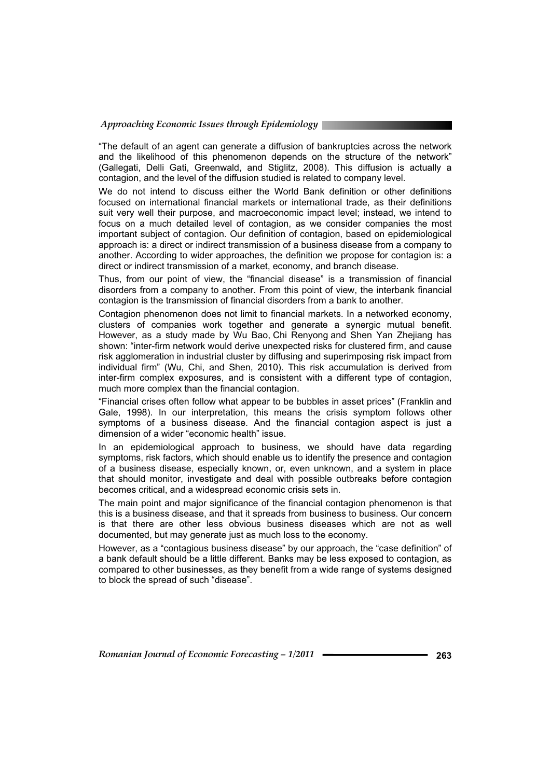"The default of an agent can generate a diffusion of bankruptcies across the network and the likelihood of this phenomenon depends on the structure of the network" (Gallegati, Delli Gati, Greenwald, and Stiglitz, 2008). This diffusion is actually a contagion, and the level of the diffusion studied is related to company level.

We do not intend to discuss either the World Bank definition or other definitions focused on international financial markets or international trade, as their definitions suit very well their purpose, and macroeconomic impact level; instead, we intend to focus on a much detailed level of contagion, as we consider companies the most important subject of contagion. Our definition of contagion, based on epidemiological approach is: a direct or indirect transmission of a business disease from a company to another. According to wider approaches, the definition we propose for contagion is: a direct or indirect transmission of a market, economy, and branch disease.

Thus, from our point of view, the "financial disease" is a transmission of financial disorders from a company to another. From this point of view, the interbank financial contagion is the transmission of financial disorders from a bank to another.

Contagion phenomenon does not limit to financial markets. In a networked economy, clusters of companies work together and generate a synergic mutual benefit. However, as a study made by Wu Bao, Chi Renyong and Shen Yan Zhejiang has shown: "inter-firm network would derive unexpected risks for clustered firm, and cause risk agglomeration in industrial cluster by diffusing and superimposing risk impact from individual firm" (Wu, Chi, and Shen, 2010). This risk accumulation is derived from inter-firm complex exposures, and is consistent with a different type of contagion, much more complex than the financial contagion.

"Financial crises often follow what appear to be bubbles in asset prices" (Franklin and Gale, 1998). In our interpretation, this means the crisis symptom follows other symptoms of a business disease. And the financial contagion aspect is just a dimension of a wider "economic health" issue.

In an epidemiological approach to business, we should have data regarding symptoms, risk factors, which should enable us to identify the presence and contagion of a business disease, especially known, or, even unknown, and a system in place that should monitor, investigate and deal with possible outbreaks before contagion becomes critical, and a widespread economic crisis sets in.

The main point and major significance of the financial contagion phenomenon is that this is a business disease, and that it spreads from business to business. Our concern is that there are other less obvious business diseases which are not as well documented, but may generate just as much loss to the economy.

However, as a "contagious business disease" by our approach, the "case definition" of a bank default should be a little different. Banks may be less exposed to contagion, as compared to other businesses, as they benefit from a wide range of systems designed to block the spread of such "disease".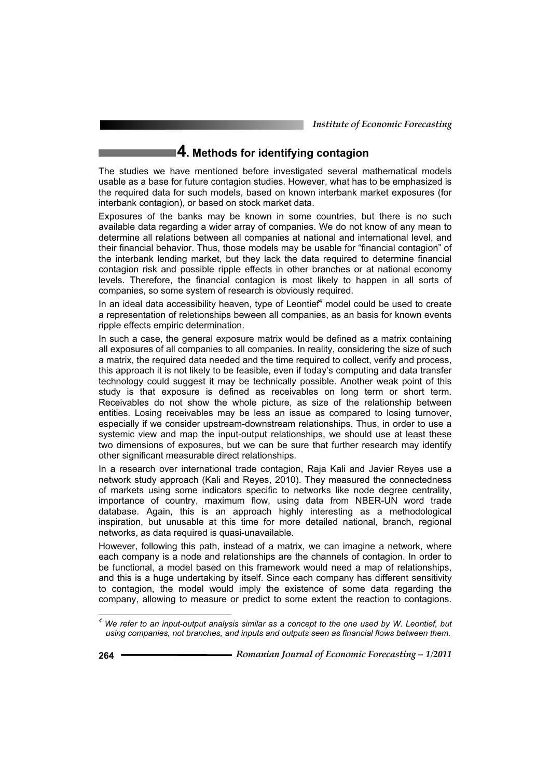# **4. Methods for identifying contagion**

The studies we have mentioned before investigated several mathematical models usable as a base for future contagion studies. However, what has to be emphasized is the required data for such models, based on known interbank market exposures (for interbank contagion), or based on stock market data.

Exposures of the banks may be known in some countries, but there is no such available data regarding a wider array of companies. We do not know of any mean to determine all relations between all companies at national and international level, and their financial behavior. Thus, those models may be usable for "financial contagion" of the interbank lending market, but they lack the data required to determine financial contagion risk and possible ripple effects in other branches or at national economy levels. Therefore, the financial contagion is most likely to happen in all sorts of companies, so some system of research is obviously required.

In an ideal data accessibility heaven, type of Leontief<sup>4</sup> model could be used to create a representation of reletionships beween all companies, as an basis for known events ripple effects empiric determination.

In such a case, the general exposure matrix would be defined as a matrix containing all exposures of all companies to all companies. In reality, considering the size of such a matrix, the required data needed and the time required to collect, verify and process, this approach it is not likely to be feasible, even if today's computing and data transfer technology could suggest it may be technically possible. Another weak point of this study is that exposure is defined as receivables on long term or short term. Receivables do not show the whole picture, as size of the relationship between entities. Losing receivables may be less an issue as compared to losing turnover, especially if we consider upstream-downstream relationships. Thus, in order to use a systemic view and map the input-output relationships, we should use at least these two dimensions of exposures, but we can be sure that further research may identify other significant measurable direct relationships.

In a research over international trade contagion, Raja Kali and Javier Reyes use a network study approach (Kali and Reyes, 2010). They measured the connectedness of markets using some indicators specific to networks like node degree centrality, importance of country, maximum flow, using data from NBER-UN word trade database. Again, this is an approach highly interesting as a methodological inspiration, but unusable at this time for more detailed national, branch, regional networks, as data required is quasi-unavailable.

However, following this path, instead of a matrix, we can imagine a network, where each company is a node and relationships are the channels of contagion. In order to be functional, a model based on this framework would need a map of relationships, and this is a huge undertaking by itself. Since each company has different sensitivity to contagion, the model would imply the existence of some data regarding the company, allowing to measure or predict to some extent the reaction to contagions.

 $\overline{a}$ 

<sup>&</sup>lt;sup>4</sup> We refer to an input-output analysis similar as a concept to the one used by W. Leontief, but *using companies, not branches, and inputs and outputs seen as financial flows between them.*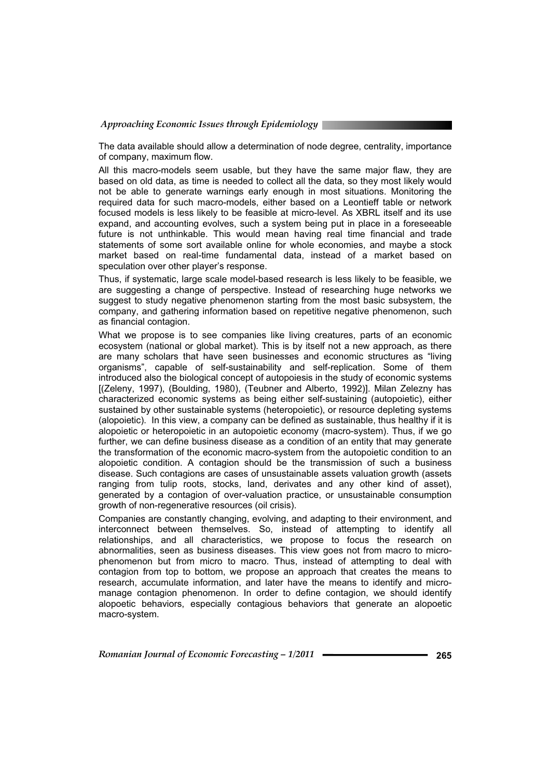The data available should allow a determination of node degree, centrality, importance of company, maximum flow.

All this macro-models seem usable, but they have the same major flaw, they are based on old data, as time is needed to collect all the data, so they most likely would not be able to generate warnings early enough in most situations. Monitoring the required data for such macro-models, either based on a Leontieff table or network focused models is less likely to be feasible at micro-level. As XBRL itself and its use expand, and accounting evolves, such a system being put in place in a foreseeable future is not unthinkable. This would mean having real time financial and trade statements of some sort available online for whole economies, and maybe a stock market based on real-time fundamental data, instead of a market based on speculation over other player's response.

Thus, if systematic, large scale model-based research is less likely to be feasible, we are suggesting a change of perspective. Instead of researching huge networks we suggest to study negative phenomenon starting from the most basic subsystem, the company, and gathering information based on repetitive negative phenomenon, such as financial contagion.

What we propose is to see companies like living creatures, parts of an economic ecosystem (national or global market). This is by itself not a new approach, as there are many scholars that have seen businesses and economic structures as "living organisms", capable of self-sustainability and self-replication. Some of them introduced also the biological concept of autopoiesis in the study of economic systems [(Zeleny, 1997), (Boulding, 1980), (Teubner and Alberto, 1992)]. Milan Zelezny has characterized economic systems as being either self-sustaining (autopoietic), either sustained by other sustainable systems (heteropoietic), or resource depleting systems (alopoietic). In this view, a company can be defined as sustainable, thus healthy if it is alopoietic or heteropoietic in an autopoietic economy (macro-system). Thus, if we go further, we can define business disease as a condition of an entity that may generate the transformation of the economic macro-system from the autopoietic condition to an alopoietic condition. A contagion should be the transmission of such a business disease. Such contagions are cases of unsustainable assets valuation growth (assets ranging from tulip roots, stocks, land, derivates and any other kind of asset), generated by a contagion of over-valuation practice, or unsustainable consumption growth of non-regenerative resources (oil crisis).

Companies are constantly changing, evolving, and adapting to their environment, and interconnect between themselves. So, instead of attempting to identify all relationships, and all characteristics, we propose to focus the research on abnormalities, seen as business diseases. This view goes not from macro to microphenomenon but from micro to macro. Thus, instead of attempting to deal with contagion from top to bottom, we propose an approach that creates the means to research, accumulate information, and later have the means to identify and micromanage contagion phenomenon. In order to define contagion, we should identify alopoetic behaviors, especially contagious behaviors that generate an alopoetic macro-system.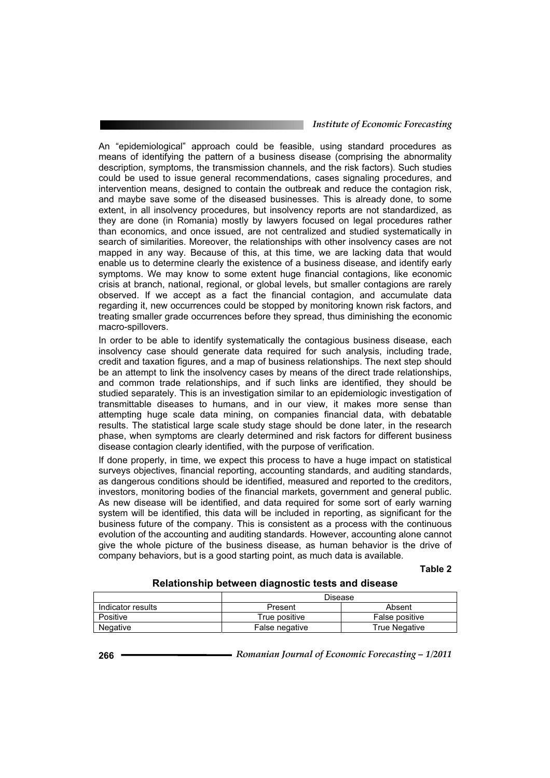An "epidemiological" approach could be feasible, using standard procedures as means of identifying the pattern of a business disease (comprising the abnormality description, symptoms, the transmission channels, and the risk factors). Such studies could be used to issue general recommendations, cases signaling procedures, and intervention means, designed to contain the outbreak and reduce the contagion risk, and maybe save some of the diseased businesses. This is already done, to some extent, in all insolvency procedures, but insolvency reports are not standardized, as they are done (in Romania) mostly by lawyers focused on legal procedures rather than economics, and once issued, are not centralized and studied systematically in search of similarities. Moreover, the relationships with other insolvency cases are not mapped in any way. Because of this, at this time, we are lacking data that would enable us to determine clearly the existence of a business disease, and identify early symptoms. We may know to some extent huge financial contagions, like economic crisis at branch, national, regional, or global levels, but smaller contagions are rarely observed. If we accept as a fact the financial contagion, and accumulate data regarding it, new occurrences could be stopped by monitoring known risk factors, and treating smaller grade occurrences before they spread, thus diminishing the economic macro-spillovers.

In order to be able to identify systematically the contagious business disease, each insolvency case should generate data required for such analysis, including trade, credit and taxation figures, and a map of business relationships. The next step should be an attempt to link the insolvency cases by means of the direct trade relationships, and common trade relationships, and if such links are identified, they should be studied separately. This is an investigation similar to an epidemiologic investigation of transmittable diseases to humans, and in our view, it makes more sense than attempting huge scale data mining, on companies financial data, with debatable results. The statistical large scale study stage should be done later, in the research phase, when symptoms are clearly determined and risk factors for different business disease contagion clearly identified, with the purpose of verification.

If done properly, in time, we expect this process to have a huge impact on statistical surveys objectives, financial reporting, accounting standards, and auditing standards, as dangerous conditions should be identified, measured and reported to the creditors, investors, monitoring bodies of the financial markets, government and general public. As new disease will be identified, and data required for some sort of early warning system will be identified, this data will be included in reporting, as significant for the business future of the company. This is consistent as a process with the continuous evolution of the accounting and auditing standards. However, accounting alone cannot give the whole picture of the business disease, as human behavior is the drive of company behaviors, but is a good starting point, as much data is available.

#### **Table 2**

**Relationship between diagnostic tests and disease** 

|                   | Disease        |                      |  |
|-------------------|----------------|----------------------|--|
| Indicator results | Present        | Absent               |  |
| Positive          | True positive  | False positive       |  |
| Negative          | False negative | <b>True Negative</b> |  |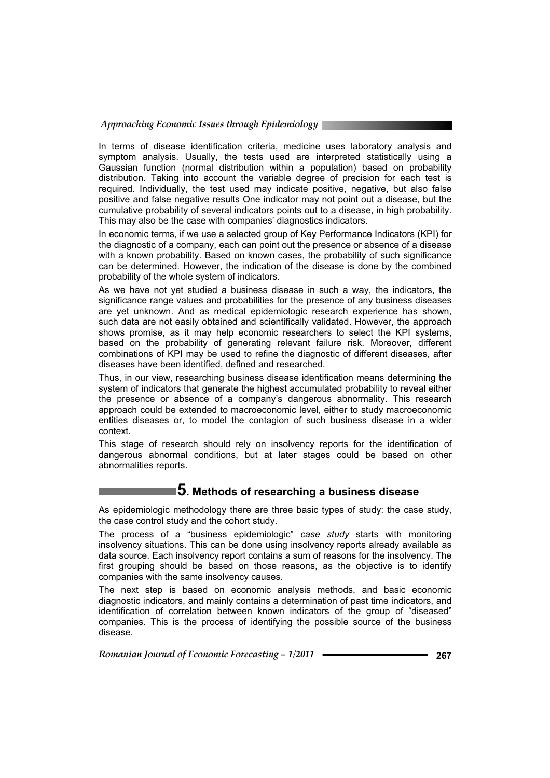In terms of disease identification criteria, medicine uses laboratory analysis and symptom analysis. Usually, the tests used are interpreted statistically using a Gaussian function (normal distribution within a population) based on probability distribution. Taking into account the variable degree of precision for each test is required. Individually, the test used may indicate positive, negative, but also false positive and false negative results One indicator may not point out a disease, but the cumulative probability of several indicators points out to a disease, in high probability. This may also be the case with companies' diagnostics indicators.

In economic terms, if we use a selected group of Key Performance Indicators (KPI) for the diagnostic of a company, each can point out the presence or absence of a disease with a known probability. Based on known cases, the probability of such significance can be determined. However, the indication of the disease is done by the combined probability of the whole system of indicators.

As we have not yet studied a business disease in such a way, the indicators, the significance range values and probabilities for the presence of any business diseases are yet unknown. And as medical epidemiologic research experience has shown, such data are not easily obtained and scientifically validated. However, the approach shows promise, as it may help economic researchers to select the KPI systems, based on the probability of generating relevant failure risk. Moreover, different combinations of KPI may be used to refine the diagnostic of different diseases, after diseases have been identified, defined and researched.

Thus, in our view, researching business disease identification means determining the system of indicators that generate the highest accumulated probability to reveal either the presence or absence of a company's dangerous abnormality. This research approach could be extended to macroeconomic level, either to study macroeconomic entities diseases or, to model the contagion of such business disease in a wider context.

This stage of research should rely on insolvency reports for the identification of dangerous abnormal conditions, but at later stages could be based on other abnormalities reports.

# **5. Methods of researching a business disease**

As epidemiologic methodology there are three basic types of study: the case study, the case control study and the cohort study.

The process of a "business epidemiologic" *case study* starts with monitoring insolvency situations. This can be done using insolvency reports already available as data source. Each insolvency report contains a sum of reasons for the insolvency. The first grouping should be based on those reasons, as the objective is to identify companies with the same insolvency causes.

The next step is based on economic analysis methods, and basic economic diagnostic indicators, and mainly contains a determination of past time indicators, and identification of correlation between known indicators of the group of "diseased" companies. This is the process of identifying the possible source of the business disease.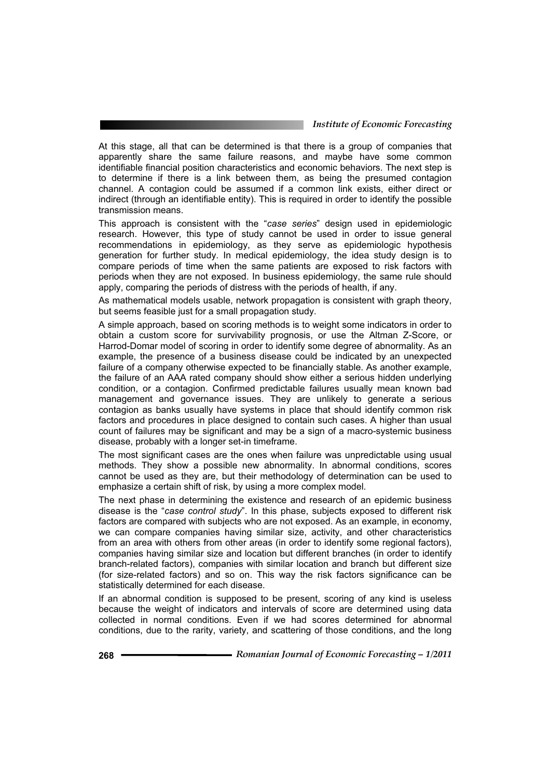At this stage, all that can be determined is that there is a group of companies that apparently share the same failure reasons, and maybe have some common identifiable financial position characteristics and economic behaviors. The next step is to determine if there is a link between them, as being the presumed contagion channel. A contagion could be assumed if a common link exists, either direct or indirect (through an identifiable entity). This is required in order to identify the possible transmission means.

This approach is consistent with the "*case series*" design used in epidemiologic research. However, this type of study cannot be used in order to issue general recommendations in epidemiology, as they serve as epidemiologic hypothesis generation for further study. In medical epidemiology, the idea study design is to compare periods of time when the same patients are exposed to risk factors with periods when they are not exposed. In business epidemiology, the same rule should apply, comparing the periods of distress with the periods of health, if any.

As mathematical models usable, network propagation is consistent with graph theory, but seems feasible just for a small propagation study.

A simple approach, based on scoring methods is to weight some indicators in order to obtain a custom score for survivability prognosis, or use the Altman Z-Score, or Harrod-Domar model of scoring in order to identify some degree of abnormality. As an example, the presence of a business disease could be indicated by an unexpected failure of a company otherwise expected to be financially stable. As another example, the failure of an AAA rated company should show either a serious hidden underlying condition, or a contagion. Confirmed predictable failures usually mean known bad management and governance issues. They are unlikely to generate a serious contagion as banks usually have systems in place that should identify common risk factors and procedures in place designed to contain such cases. A higher than usual count of failures may be significant and may be a sign of a macro-systemic business disease, probably with a longer set-in timeframe.

The most significant cases are the ones when failure was unpredictable using usual methods. They show a possible new abnormality. In abnormal conditions, scores cannot be used as they are, but their methodology of determination can be used to emphasize a certain shift of risk, by using a more complex model.

The next phase in determining the existence and research of an epidemic business disease is the "*case control study*". In this phase, subjects exposed to different risk factors are compared with subjects who are not exposed. As an example, in economy, we can compare companies having similar size, activity, and other characteristics from an area with others from other areas (in order to identify some regional factors), companies having similar size and location but different branches (in order to identify branch-related factors), companies with similar location and branch but different size (for size-related factors) and so on. This way the risk factors significance can be statistically determined for each disease.

If an abnormal condition is supposed to be present, scoring of any kind is useless because the weight of indicators and intervals of score are determined using data collected in normal conditions. Even if we had scores determined for abnormal conditions, due to the rarity, variety, and scattering of those conditions, and the long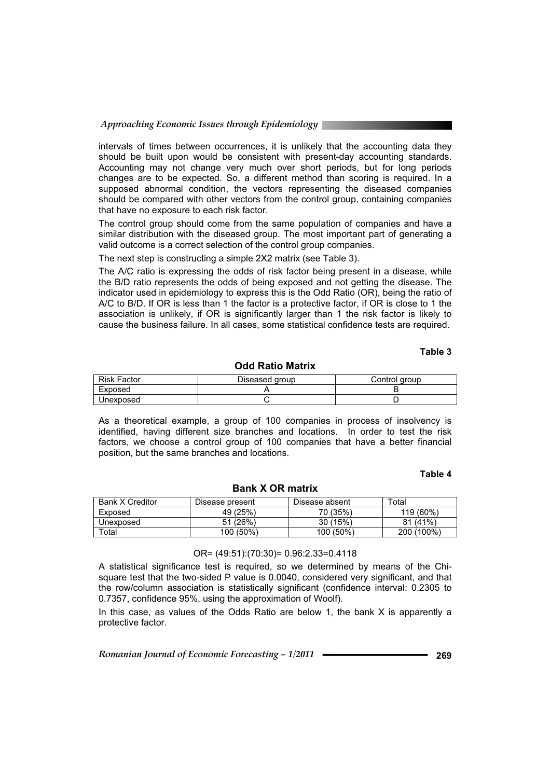intervals of times between occurrences, it is unlikely that the accounting data they should be built upon would be consistent with present-day accounting standards. Accounting may not change very much over short periods, but for long periods changes are to be expected. So, a different method than scoring is required. In a supposed abnormal condition, the vectors representing the diseased companies should be compared with other vectors from the control group, containing companies that have no exposure to each risk factor.

The control group should come from the same population of companies and have a similar distribution with the diseased group. The most important part of generating a valid outcome is a correct selection of the control group companies.

The next step is constructing a simple 2X2 matrix (see Table 3).

The A/C ratio is expressing the odds of risk factor being present in a disease, while the B/D ratio represents the odds of being exposed and not getting the disease. The indicator used in epidemiology to express this is the Odd Ratio (OR), being the ratio of A/C to B/D. If OR is less than 1 the factor is a protective factor, if OR is close to 1 the association is unlikely, if OR is significantly larger than 1 the risk factor is likely to cause the business failure. In all cases, some statistical confidence tests are required.

### **Table 3**

#### **Odd Ratio Matrix**

| <b>Risk Factor</b> | Diseased group | Control group |
|--------------------|----------------|---------------|
| Exposed            |                |               |
| Unexposed          |                |               |

As a theoretical example, a group of 100 companies in process of insolvency is identified, having different size branches and locations. In order to test the risk factors, we choose a control group of 100 companies that have a better financial position, but the same branches and locations.

#### **Table 4**

| <b>Bank X Creditor</b> | Disease present | Disease absent | $\tau$ otar |
|------------------------|-----------------|----------------|-------------|
| Exposed                | 49 (25%)        | 70 (35%)       | 119 (60%)   |
| Unexposed              | 51(26%)         | 30(15%)        | $81(41\%)$  |
| $\tau$ otal            | 100 (50%)       | $100(50\%)$    | 200 (100%)  |

#### **Bank X OR matrix**

### OR= (49:51):(70:30)= 0.96:2.33=0.4118

A statistical significance test is required, so we determined by means of the Chisquare test that the two-sided P value is 0.0040, considered very significant, and that the row/column association is statistically significant (confidence interval: 0.2305 to 0.7357, confidence 95%, using the approximation of Woolf).

In this case, as values of the Odds Ratio are below 1, the bank X is apparently a protective factor.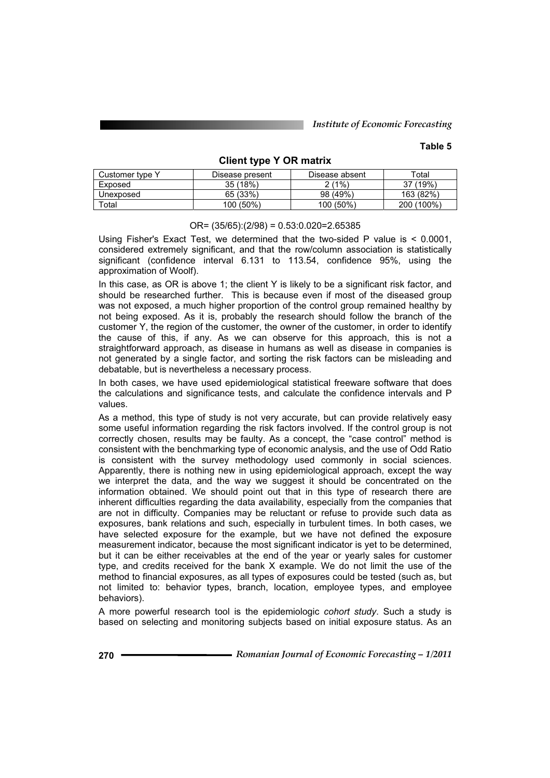### **Table 5**

### **Client type Y OR matrix**

| Customer type Y | Disease present | Disease absent | Total      |
|-----------------|-----------------|----------------|------------|
| Exposed         | 35(18%)         | $2(1\%)$       | 37 (19%)   |
| Unexposed       | 65 (33%)        | 98 (49%)       | 163 (82%)  |
| ™otal           | 100 (50%)       | 100 (50%)      | 200 (100%) |

#### $OR = (35/65):(2/98) = 0.53:0.020 = 2.65385$

Using Fisher's Exact Test, we determined that the two-sided P value is < 0.0001, considered extremely significant, and that the row/column association is statistically significant (confidence interval 6.131 to 113.54, confidence 95%, using the approximation of Woolf).

In this case, as OR is above 1; the client Y is likely to be a significant risk factor, and should be researched further. This is because even if most of the diseased group was not exposed, a much higher proportion of the control group remained healthy by not being exposed. As it is, probably the research should follow the branch of the customer Y, the region of the customer, the owner of the customer, in order to identify the cause of this, if any. As we can observe for this approach, this is not a straightforward approach, as disease in humans as well as disease in companies is not generated by a single factor, and sorting the risk factors can be misleading and debatable, but is nevertheless a necessary process.

In both cases, we have used epidemiological statistical freeware software that does the calculations and significance tests, and calculate the confidence intervals and P values.

As a method, this type of study is not very accurate, but can provide relatively easy some useful information regarding the risk factors involved. If the control group is not correctly chosen, results may be faulty. As a concept, the "case control" method is consistent with the benchmarking type of economic analysis, and the use of Odd Ratio is consistent with the survey methodology used commonly in social sciences. Apparently, there is nothing new in using epidemiological approach, except the way we interpret the data, and the way we suggest it should be concentrated on the information obtained. We should point out that in this type of research there are inherent difficulties regarding the data availability, especially from the companies that are not in difficulty. Companies may be reluctant or refuse to provide such data as exposures, bank relations and such, especially in turbulent times. In both cases, we have selected exposure for the example, but we have not defined the exposure measurement indicator, because the most significant indicator is yet to be determined, but it can be either receivables at the end of the year or yearly sales for customer type, and credits received for the bank X example. We do not limit the use of the method to financial exposures, as all types of exposures could be tested (such as, but not limited to: behavior types, branch, location, employee types, and employee behaviors).

A more powerful research tool is the epidemiologic *cohort study*. Such a study is based on selecting and monitoring subjects based on initial exposure status. As an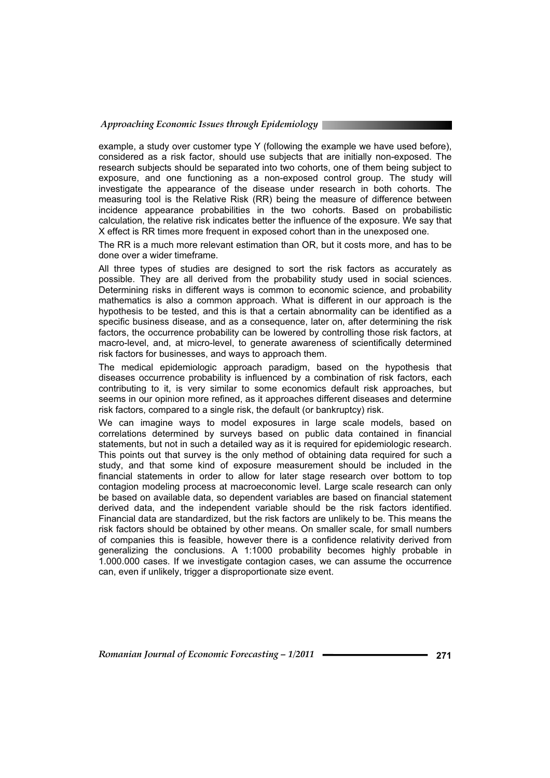example, a study over customer type Y (following the example we have used before), considered as a risk factor, should use subjects that are initially non-exposed. The research subjects should be separated into two cohorts, one of them being subject to exposure, and one functioning as a non-exposed control group. The study will investigate the appearance of the disease under research in both cohorts. The measuring tool is the Relative Risk (RR) being the measure of difference between incidence appearance probabilities in the two cohorts. Based on probabilistic calculation, the relative risk indicates better the influence of the exposure. We say that X effect is RR times more frequent in exposed cohort than in the unexposed one.

The RR is a much more relevant estimation than OR, but it costs more, and has to be done over a wider timeframe.

All three types of studies are designed to sort the risk factors as accurately as possible. They are all derived from the probability study used in social sciences. Determining risks in different ways is common to economic science, and probability mathematics is also a common approach. What is different in our approach is the hypothesis to be tested, and this is that a certain abnormality can be identified as a specific business disease, and as a consequence, later on, after determining the risk factors, the occurrence probability can be lowered by controlling those risk factors, at macro-level, and, at micro-level, to generate awareness of scientifically determined risk factors for businesses, and ways to approach them.

The medical epidemiologic approach paradigm, based on the hypothesis that diseases occurrence probability is influenced by a combination of risk factors, each contributing to it, is very similar to some economics default risk approaches, but seems in our opinion more refined, as it approaches different diseases and determine risk factors, compared to a single risk, the default (or bankruptcy) risk.

We can imagine ways to model exposures in large scale models, based on correlations determined by surveys based on public data contained in financial statements, but not in such a detailed way as it is required for epidemiologic research. This points out that survey is the only method of obtaining data required for such a study, and that some kind of exposure measurement should be included in the financial statements in order to allow for later stage research over bottom to top contagion modeling process at macroeconomic level. Large scale research can only be based on available data, so dependent variables are based on financial statement derived data, and the independent variable should be the risk factors identified. Financial data are standardized, but the risk factors are unlikely to be. This means the risk factors should be obtained by other means. On smaller scale, for small numbers of companies this is feasible, however there is a confidence relativity derived from generalizing the conclusions. A 1:1000 probability becomes highly probable in 1.000.000 cases. If we investigate contagion cases, we can assume the occurrence can, even if unlikely, trigger a disproportionate size event.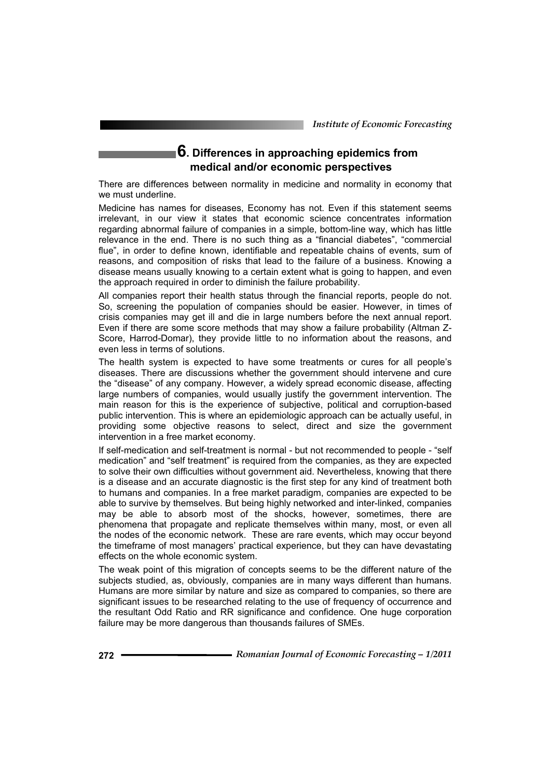# **6. Differences in approaching epidemics from medical and/or economic perspectives**

There are differences between normality in medicine and normality in economy that we must underline.

Medicine has names for diseases, Economy has not. Even if this statement seems irrelevant, in our view it states that economic science concentrates information regarding abnormal failure of companies in a simple, bottom-line way, which has little relevance in the end. There is no such thing as a "financial diabetes", "commercial flue", in order to define known, identifiable and repeatable chains of events, sum of reasons, and composition of risks that lead to the failure of a business. Knowing a disease means usually knowing to a certain extent what is going to happen, and even the approach required in order to diminish the failure probability.

All companies report their health status through the financial reports, people do not. So, screening the population of companies should be easier. However, in times of crisis companies may get ill and die in large numbers before the next annual report. Even if there are some score methods that may show a failure probability (Altman Z-Score, Harrod-Domar), they provide little to no information about the reasons, and even less in terms of solutions.

The health system is expected to have some treatments or cures for all people's diseases. There are discussions whether the government should intervene and cure the "disease" of any company. However, a widely spread economic disease, affecting large numbers of companies, would usually justify the government intervention. The main reason for this is the experience of subjective, political and corruption-based public intervention. This is where an epidemiologic approach can be actually useful, in providing some objective reasons to select, direct and size the government intervention in a free market economy.

If self-medication and self-treatment is normal - but not recommended to people - "self medication" and "self treatment" is required from the companies, as they are expected to solve their own difficulties without government aid. Nevertheless, knowing that there is a disease and an accurate diagnostic is the first step for any kind of treatment both to humans and companies. In a free market paradigm, companies are expected to be able to survive by themselves. But being highly networked and inter-linked, companies may be able to absorb most of the shocks, however, sometimes, there are phenomena that propagate and replicate themselves within many, most, or even all the nodes of the economic network. These are rare events, which may occur beyond the timeframe of most managers' practical experience, but they can have devastating effects on the whole economic system.

The weak point of this migration of concepts seems to be the different nature of the subjects studied, as, obviously, companies are in many ways different than humans. Humans are more similar by nature and size as compared to companies, so there are significant issues to be researched relating to the use of frequency of occurrence and the resultant Odd Ratio and RR significance and confidence. One huge corporation failure may be more dangerous than thousands failures of SMEs.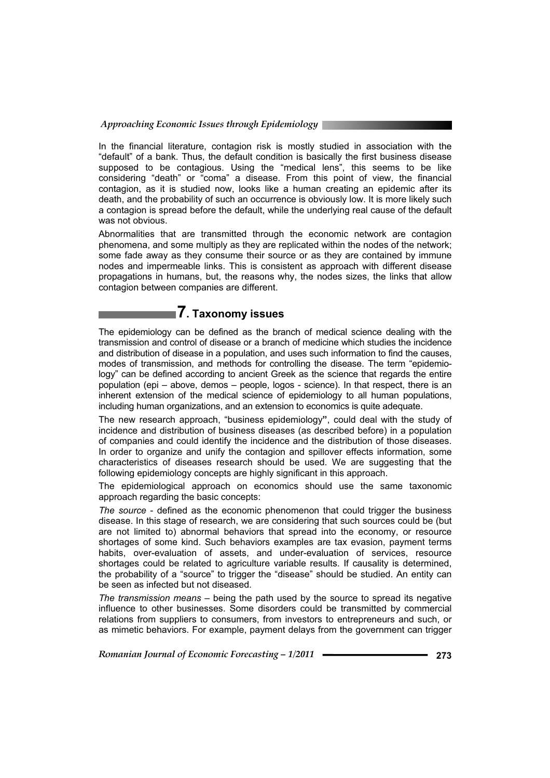In the financial literature, contagion risk is mostly studied in association with the "default" of a bank. Thus, the default condition is basically the first business disease supposed to be contagious. Using the "medical lens", this seems to be like considering "death" or "coma" a disease. From this point of view, the financial contagion, as it is studied now, looks like a human creating an epidemic after its death, and the probability of such an occurrence is obviously low. It is more likely such a contagion is spread before the default, while the underlying real cause of the default was not obvious.

Abnormalities that are transmitted through the economic network are contagion phenomena, and some multiply as they are replicated within the nodes of the network; some fade away as they consume their source or as they are contained by immune nodes and impermeable links. This is consistent as approach with different disease propagations in humans, but, the reasons why, the nodes sizes, the links that allow contagion between companies are different.

# **7. Taxonomy issues**

The epidemiology can be defined as the branch of medical science dealing with the transmission and control of disease or a branch of medicine which studies the incidence and distribution of disease in a population, and uses such information to find the causes, modes of transmission, and methods for controlling the disease. The term "epidemiology" can be defined according to ancient Greek as the science that regards the entire population (epi – above, demos – people, logos - science). In that respect, there is an inherent extension of the medical science of epidemiology to all human populations, including human organizations, and an extension to economics is quite adequate.

The new research approach, "business epidemiology**"**, could deal with the study of incidence and distribution of business diseases (as described before) in a population of companies and could identify the incidence and the distribution of those diseases. In order to organize and unify the contagion and spillover effects information, some characteristics of diseases research should be used. We are suggesting that the following epidemiology concepts are highly significant in this approach.

The epidemiological approach on economics should use the same taxonomic approach regarding the basic concepts:

*The source* - defined as the economic phenomenon that could trigger the business disease. In this stage of research, we are considering that such sources could be (but are not limited to) abnormal behaviors that spread into the economy, or resource shortages of some kind. Such behaviors examples are tax evasion, payment terms habits, over-evaluation of assets, and under-evaluation of services, resource shortages could be related to agriculture variable results. If causality is determined, the probability of a "source" to trigger the "disease" should be studied. An entity can be seen as infected but not diseased.

*The transmission means* – being the path used by the source to spread its negative influence to other businesses. Some disorders could be transmitted by commercial relations from suppliers to consumers, from investors to entrepreneurs and such, or as mimetic behaviors. For example, payment delays from the government can trigger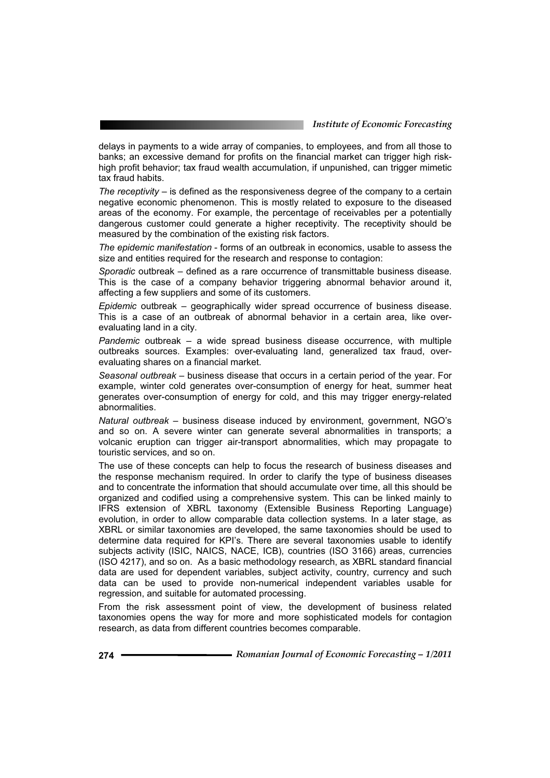delays in payments to a wide array of companies, to employees, and from all those to banks; an excessive demand for profits on the financial market can trigger high riskhigh profit behavior; tax fraud wealth accumulation, if unpunished, can trigger mimetic tax fraud habits.

*The receptivity* – is defined as the responsiveness degree of the company to a certain negative economic phenomenon. This is mostly related to exposure to the diseased areas of the economy. For example, the percentage of receivables per a potentially dangerous customer could generate a higher receptivity. The receptivity should be measured by the combination of the existing risk factors.

*The epidemic manifestation* - forms of an outbreak in economics, usable to assess the size and entities required for the research and response to contagion:

*Sporadic* outbreak – defined as a rare occurrence of transmittable business disease. This is the case of a company behavior triggering abnormal behavior around it, affecting a few suppliers and some of its customers.

*Epidemic* outbreak – geographically wider spread occurrence of business disease. This is a case of an outbreak of abnormal behavior in a certain area, like overevaluating land in a city.

*Pandemic* outbreak – a wide spread business disease occurrence, with multiple outbreaks sources. Examples: over-evaluating land, generalized tax fraud, overevaluating shares on a financial market.

*Seasonal outbreak* – business disease that occurs in a certain period of the year. For example, winter cold generates over-consumption of energy for heat, summer heat generates over-consumption of energy for cold, and this may trigger energy-related abnormalities.

*Natural outbreak* – business disease induced by environment, government, NGO's and so on. A severe winter can generate several abnormalities in transports; a volcanic eruption can trigger air-transport abnormalities, which may propagate to touristic services, and so on.

The use of these concepts can help to focus the research of business diseases and the response mechanism required. In order to clarify the type of business diseases and to concentrate the information that should accumulate over time, all this should be organized and codified using a comprehensive system. This can be linked mainly to IFRS extension of XBRL taxonomy (Extensible Business Reporting Language) evolution, in order to allow comparable data collection systems. In a later stage, as XBRL or similar taxonomies are developed, the same taxonomies should be used to determine data required for KPI's. There are several taxonomies usable to identify subjects activity (ISIC, NAICS, NACE, ICB), countries (ISO 3166) areas, currencies (ISO 4217), and so on. As a basic methodology research, as XBRL standard financial data are used for dependent variables, subject activity, country, currency and such data can be used to provide non-numerical independent variables usable for regression, and suitable for automated processing.

From the risk assessment point of view, the development of business related taxonomies opens the way for more and more sophisticated models for contagion research, as data from different countries becomes comparable.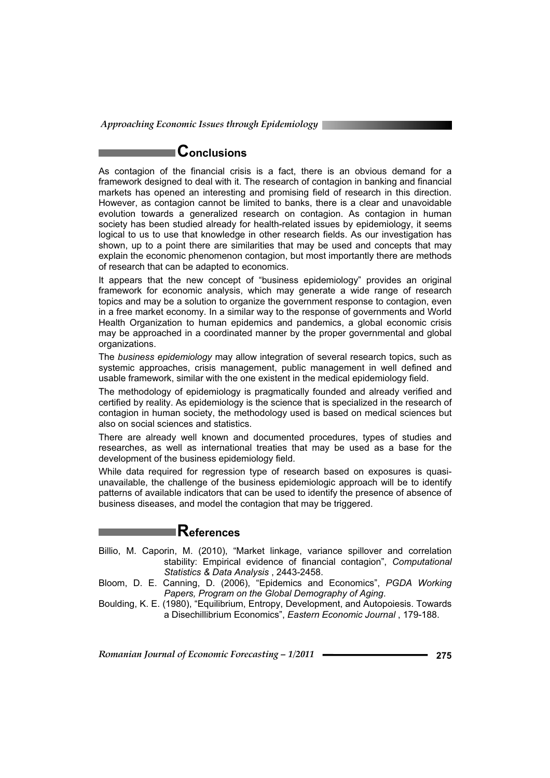# **Conclusions**

As contagion of the financial crisis is a fact, there is an obvious demand for a framework designed to deal with it. The research of contagion in banking and financial markets has opened an interesting and promising field of research in this direction. However, as contagion cannot be limited to banks, there is a clear and unavoidable evolution towards a generalized research on contagion. As contagion in human society has been studied already for health-related issues by epidemiology, it seems logical to us to use that knowledge in other research fields. As our investigation has shown, up to a point there are similarities that may be used and concepts that may explain the economic phenomenon contagion, but most importantly there are methods of research that can be adapted to economics.

It appears that the new concept of "business epidemiology" provides an original framework for economic analysis, which may generate a wide range of research topics and may be a solution to organize the government response to contagion, even in a free market economy. In a similar way to the response of governments and World Health Organization to human epidemics and pandemics, a global economic crisis may be approached in a coordinated manner by the proper governmental and global organizations.

The *business epidemiology* may allow integration of several research topics, such as systemic approaches, crisis management, public management in well defined and usable framework, similar with the one existent in the medical epidemiology field.

The methodology of epidemiology is pragmatically founded and already verified and certified by reality. As epidemiology is the science that is specialized in the research of contagion in human society, the methodology used is based on medical sciences but also on social sciences and statistics.

There are already well known and documented procedures, types of studies and researches, as well as international treaties that may be used as a base for the development of the business epidemiology field.

While data required for regression type of research based on exposures is quasiunavailable, the challenge of the business epidemiologic approach will be to identify patterns of available indicators that can be used to identify the presence of absence of business diseases, and model the contagion that may be triggered.

# **References**

- Billio, M. Caporin, M. (2010), "Market linkage, variance spillover and correlation stability: Empirical evidence of financial contagion", *Computational Statistics & Data Analysis* , 2443-2458.
- Bloom, D. E. Canning, D. (2006), "Epidemics and Economics", *PGDA Working Papers, Program on the Global Demography of Aging*.
- Boulding, K. E. (1980), "Equilibrium, Entropy, Development, and Autopoiesis. Towards a Disechillibrium Economics", *Eastern Economic Journal* , 179-188.